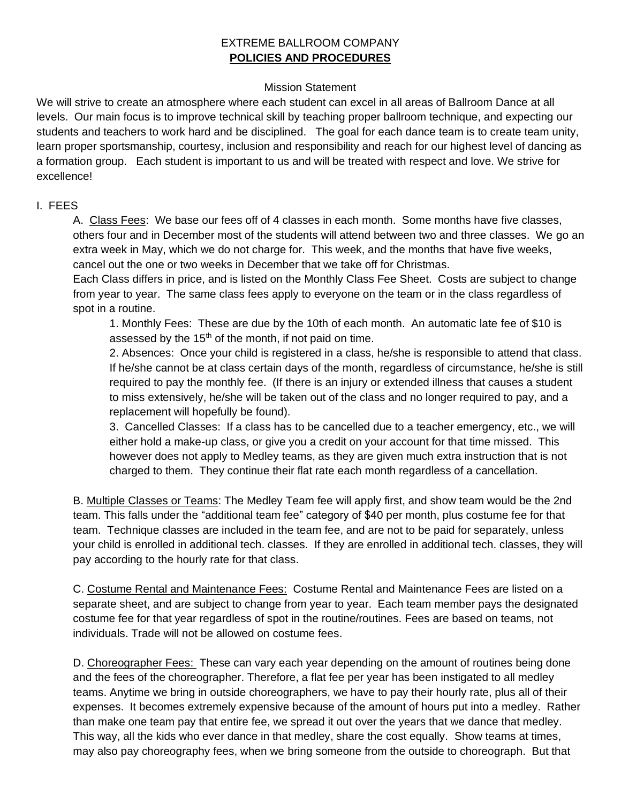# EXTREME BALLROOM COMPANY **POLICIES AND PROCEDURES**

### Mission Statement

We will strive to create an atmosphere where each student can excel in all areas of Ballroom Dance at all levels. Our main focus is to improve technical skill by teaching proper ballroom technique, and expecting our students and teachers to work hard and be disciplined. The goal for each dance team is to create team unity, learn proper sportsmanship, courtesy, inclusion and responsibility and reach for our highest level of dancing as a formation group. Each student is important to us and will be treated with respect and love. We strive for excellence!

#### I. FEES

A. Class Fees: We base our fees off of 4 classes in each month. Some months have five classes, others four and in December most of the students will attend between two and three classes. We go an extra week in May, which we do not charge for. This week, and the months that have five weeks, cancel out the one or two weeks in December that we take off for Christmas.

Each Class differs in price, and is listed on the Monthly Class Fee Sheet. Costs are subject to change from year to year. The same class fees apply to everyone on the team or in the class regardless of spot in a routine.

1. Monthly Fees: These are due by the 10th of each month. An automatic late fee of \$10 is assessed by the  $15<sup>th</sup>$  of the month, if not paid on time.

2. Absences: Once your child is registered in a class, he/she is responsible to attend that class. If he/she cannot be at class certain days of the month, regardless of circumstance, he/she is still required to pay the monthly fee. (If there is an injury or extended illness that causes a student to miss extensively, he/she will be taken out of the class and no longer required to pay, and a replacement will hopefully be found).

3. Cancelled Classes: If a class has to be cancelled due to a teacher emergency, etc., we will either hold a make-up class, or give you a credit on your account for that time missed. This however does not apply to Medley teams, as they are given much extra instruction that is not charged to them. They continue their flat rate each month regardless of a cancellation.

B. Multiple Classes or Teams: The Medley Team fee will apply first, and show team would be the 2nd team. This falls under the "additional team fee" category of \$40 per month, plus costume fee for that team. Technique classes are included in the team fee, and are not to be paid for separately, unless your child is enrolled in additional tech. classes. If they are enrolled in additional tech. classes, they will pay according to the hourly rate for that class.

C. Costume Rental and Maintenance Fees: Costume Rental and Maintenance Fees are listed on a separate sheet, and are subject to change from year to year. Each team member pays the designated costume fee for that year regardless of spot in the routine/routines. Fees are based on teams, not individuals. Trade will not be allowed on costume fees.

D. Choreographer Fees: These can vary each year depending on the amount of routines being done and the fees of the choreographer. Therefore, a flat fee per year has been instigated to all medley teams. Anytime we bring in outside choreographers, we have to pay their hourly rate, plus all of their expenses. It becomes extremely expensive because of the amount of hours put into a medley. Rather than make one team pay that entire fee, we spread it out over the years that we dance that medley. This way, all the kids who ever dance in that medley, share the cost equally. Show teams at times, may also pay choreography fees, when we bring someone from the outside to choreograph. But that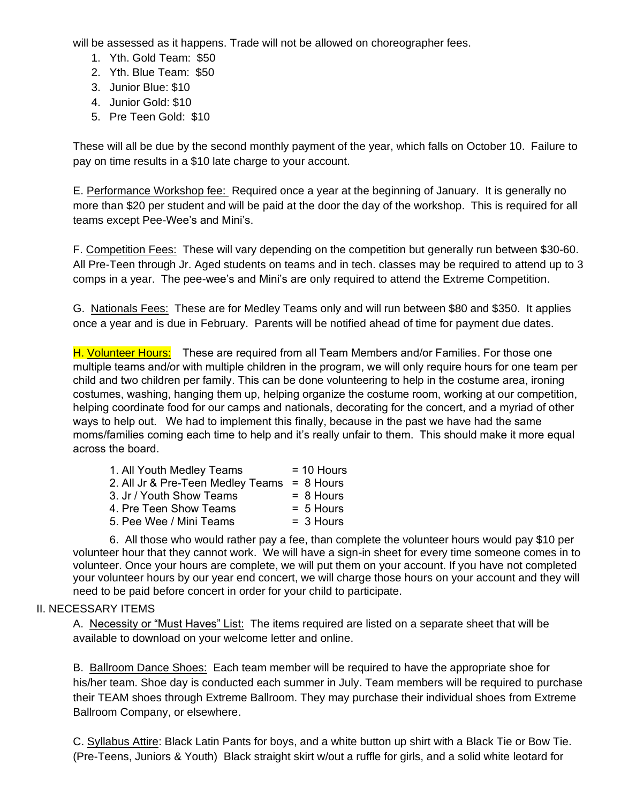will be assessed as it happens. Trade will not be allowed on choreographer fees.

- 1. Yth. Gold Team: \$50
- 2. Yth. Blue Team: \$50
- 3. Junior Blue: \$10
- 4. Junior Gold: \$10
- 5. Pre Teen Gold: \$10

These will all be due by the second monthly payment of the year, which falls on October 10. Failure to pay on time results in a \$10 late charge to your account.

E. Performance Workshop fee: Required once a year at the beginning of January. It is generally no more than \$20 per student and will be paid at the door the day of the workshop. This is required for all teams except Pee-Wee's and Mini's.

F. Competition Fees: These will vary depending on the competition but generally run between \$30-60. All Pre-Teen through Jr. Aged students on teams and in tech. classes may be required to attend up to 3 comps in a year. The pee-wee's and Mini's are only required to attend the Extreme Competition.

G. Nationals Fees: These are for Medley Teams only and will run between \$80 and \$350. It applies once a year and is due in February. Parents will be notified ahead of time for payment due dates.

H. Volunteer Hours: These are required from all Team Members and/or Families. For those one multiple teams and/or with multiple children in the program, we will only require hours for one team per child and two children per family. This can be done volunteering to help in the costume area, ironing costumes, washing, hanging them up, helping organize the costume room, working at our competition, helping coordinate food for our camps and nationals, decorating for the concert, and a myriad of other ways to help out. We had to implement this finally, because in the past we have had the same moms/families coming each time to help and it's really unfair to them. This should make it more equal across the board.

| 1. All Youth Medley Teams         | $= 10$ Hours |
|-----------------------------------|--------------|
| 2. All Jr & Pre-Teen Medley Teams | $= 8$ Hours  |
| 3. Jr / Youth Show Teams          | $= 8$ Hours  |
| 4. Pre Teen Show Teams            | $= 5$ Hours  |
| 5. Pee Wee / Mini Teams           | $= 3$ Hours  |
|                                   |              |

6. All those who would rather pay a fee, than complete the volunteer hours would pay \$10 per volunteer hour that they cannot work. We will have a sign-in sheet for every time someone comes in to volunteer. Once your hours are complete, we will put them on your account. If you have not completed your volunteer hours by our year end concert, we will charge those hours on your account and they will need to be paid before concert in order for your child to participate.

#### II. NECESSARY ITEMS

A. Necessity or "Must Haves" List: The items required are listed on a separate sheet that will be available to download on your welcome letter and online.

B. Ballroom Dance Shoes: Each team member will be required to have the appropriate shoe for his/her team. Shoe day is conducted each summer in July. Team members will be required to purchase their TEAM shoes through Extreme Ballroom. They may purchase their individual shoes from Extreme Ballroom Company, or elsewhere.

C. Syllabus Attire: Black Latin Pants for boys, and a white button up shirt with a Black Tie or Bow Tie. (Pre-Teens, Juniors & Youth) Black straight skirt w/out a ruffle for girls, and a solid white leotard for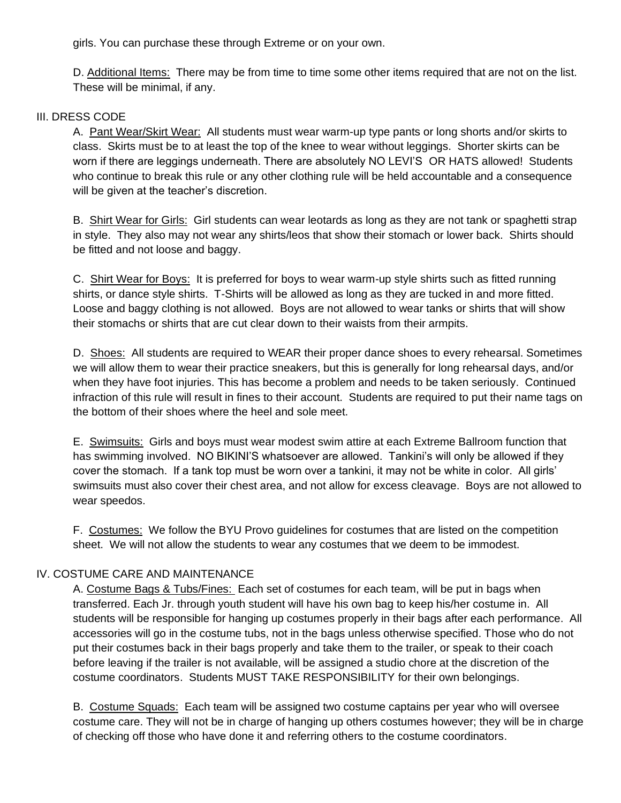girls. You can purchase these through Extreme or on your own.

D. Additional Items: There may be from time to time some other items required that are not on the list. These will be minimal, if any.

#### III. DRESS CODE

A. Pant Wear/Skirt Wear: All students must wear warm-up type pants or long shorts and/or skirts to class. Skirts must be to at least the top of the knee to wear without leggings. Shorter skirts can be worn if there are leggings underneath. There are absolutely NO LEVI'S OR HATS allowed! Students who continue to break this rule or any other clothing rule will be held accountable and a consequence will be given at the teacher's discretion.

B. Shirt Wear for Girls: Girl students can wear leotards as long as they are not tank or spaghetti strap in style. They also may not wear any shirts/leos that show their stomach or lower back. Shirts should be fitted and not loose and baggy.

C. Shirt Wear for Boys: It is preferred for boys to wear warm-up style shirts such as fitted running shirts, or dance style shirts. T-Shirts will be allowed as long as they are tucked in and more fitted. Loose and baggy clothing is not allowed. Boys are not allowed to wear tanks or shirts that will show their stomachs or shirts that are cut clear down to their waists from their armpits.

D. Shoes: All students are required to WEAR their proper dance shoes to every rehearsal. Sometimes we will allow them to wear their practice sneakers, but this is generally for long rehearsal days, and/or when they have foot injuries. This has become a problem and needs to be taken seriously. Continued infraction of this rule will result in fines to their account. Students are required to put their name tags on the bottom of their shoes where the heel and sole meet.

E. Swimsuits: Girls and boys must wear modest swim attire at each Extreme Ballroom function that has swimming involved. NO BIKINI'S whatsoever are allowed. Tankini's will only be allowed if they cover the stomach. If a tank top must be worn over a tankini, it may not be white in color. All girls' swimsuits must also cover their chest area, and not allow for excess cleavage. Boys are not allowed to wear speedos.

F. Costumes: We follow the BYU Provo guidelines for costumes that are listed on the competition sheet. We will not allow the students to wear any costumes that we deem to be immodest.

#### IV. COSTUME CARE AND MAINTENANCE

A. Costume Bags & Tubs/Fines: Each set of costumes for each team, will be put in bags when transferred. Each Jr. through youth student will have his own bag to keep his/her costume in. All students will be responsible for hanging up costumes properly in their bags after each performance. All accessories will go in the costume tubs, not in the bags unless otherwise specified. Those who do not put their costumes back in their bags properly and take them to the trailer, or speak to their coach before leaving if the trailer is not available, will be assigned a studio chore at the discretion of the costume coordinators. Students MUST TAKE RESPONSIBILITY for their own belongings.

B. Costume Squads: Each team will be assigned two costume captains per year who will oversee costume care. They will not be in charge of hanging up others costumes however; they will be in charge of checking off those who have done it and referring others to the costume coordinators.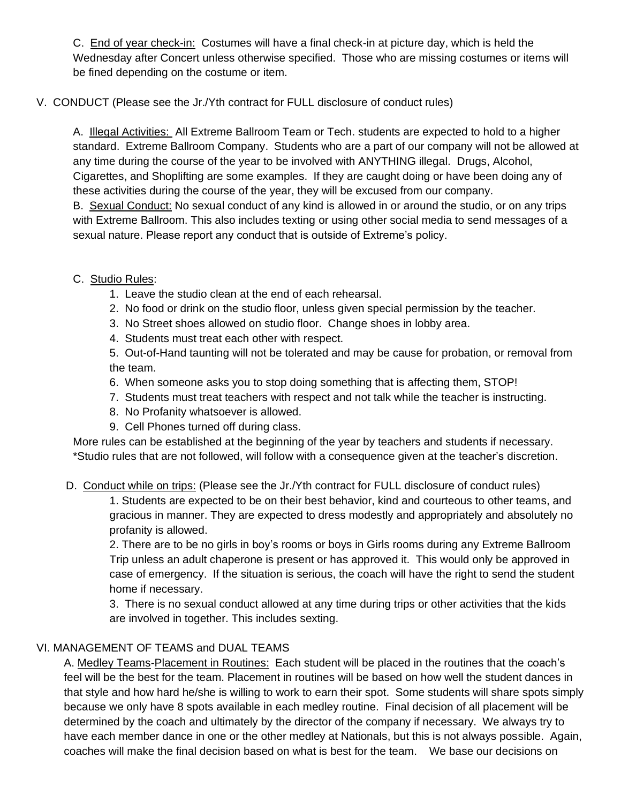C. End of year check-in: Costumes will have a final check-in at picture day, which is held the Wednesday after Concert unless otherwise specified. Those who are missing costumes or items will be fined depending on the costume or item.

### V. CONDUCT (Please see the Jr./Yth contract for FULL disclosure of conduct rules)

A. Illegal Activities: All Extreme Ballroom Team or Tech. students are expected to hold to a higher standard. Extreme Ballroom Company. Students who are a part of our company will not be allowed at any time during the course of the year to be involved with ANYTHING illegal. Drugs, Alcohol, Cigarettes, and Shoplifting are some examples. If they are caught doing or have been doing any of these activities during the course of the year, they will be excused from our company.

B. Sexual Conduct: No sexual conduct of any kind is allowed in or around the studio, or on any trips with Extreme Ballroom. This also includes texting or using other social media to send messages of a sexual nature. Please report any conduct that is outside of Extreme's policy.

### C. Studio Rules:

- 1. Leave the studio clean at the end of each rehearsal.
- 2. No food or drink on the studio floor, unless given special permission by the teacher.
- 3. No Street shoes allowed on studio floor. Change shoes in lobby area.
- 4. Students must treat each other with respect.

5. Out-of-Hand taunting will not be tolerated and may be cause for probation, or removal from the team.

- 6. When someone asks you to stop doing something that is affecting them, STOP!
- 7. Students must treat teachers with respect and not talk while the teacher is instructing.
- 8. No Profanity whatsoever is allowed.
- 9. Cell Phones turned off during class.

More rules can be established at the beginning of the year by teachers and students if necessary. \*Studio rules that are not followed, will follow with a consequence given at the teacher's discretion.

# D. Conduct while on trips: (Please see the Jr./Yth contract for FULL disclosure of conduct rules)

1. Students are expected to be on their best behavior, kind and courteous to other teams, and gracious in manner. They are expected to dress modestly and appropriately and absolutely no profanity is allowed.

2. There are to be no girls in boy's rooms or boys in Girls rooms during any Extreme Ballroom Trip unless an adult chaperone is present or has approved it. This would only be approved in case of emergency. If the situation is serious, the coach will have the right to send the student home if necessary.

3. There is no sexual conduct allowed at any time during trips or other activities that the kids are involved in together. This includes sexting.

# VI. MANAGEMENT OF TEAMS and DUAL TEAMS

A. Medley Teams-Placement in Routines: Each student will be placed in the routines that the coach's feel will be the best for the team. Placement in routines will be based on how well the student dances in that style and how hard he/she is willing to work to earn their spot. Some students will share spots simply because we only have 8 spots available in each medley routine. Final decision of all placement will be determined by the coach and ultimately by the director of the company if necessary. We always try to have each member dance in one or the other medley at Nationals, but this is not always possible. Again, coaches will make the final decision based on what is best for the team. We base our decisions on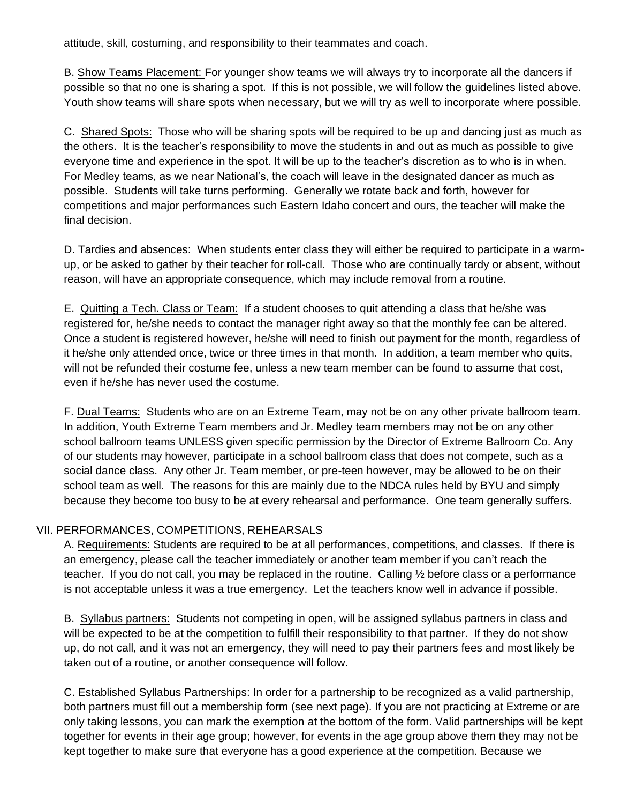attitude, skill, costuming, and responsibility to their teammates and coach.

B. Show Teams Placement: For younger show teams we will always try to incorporate all the dancers if possible so that no one is sharing a spot. If this is not possible, we will follow the guidelines listed above. Youth show teams will share spots when necessary, but we will try as well to incorporate where possible.

C. Shared Spots: Those who will be sharing spots will be required to be up and dancing just as much as the others. It is the teacher's responsibility to move the students in and out as much as possible to give everyone time and experience in the spot. It will be up to the teacher's discretion as to who is in when. For Medley teams, as we near National's, the coach will leave in the designated dancer as much as possible. Students will take turns performing. Generally we rotate back and forth, however for competitions and major performances such Eastern Idaho concert and ours, the teacher will make the final decision.

D. Tardies and absences: When students enter class they will either be required to participate in a warmup, or be asked to gather by their teacher for roll-call. Those who are continually tardy or absent, without reason, will have an appropriate consequence, which may include removal from a routine.

E. Quitting a Tech. Class or Team: If a student chooses to quit attending a class that he/she was registered for, he/she needs to contact the manager right away so that the monthly fee can be altered. Once a student is registered however, he/she will need to finish out payment for the month, regardless of it he/she only attended once, twice or three times in that month. In addition, a team member who quits, will not be refunded their costume fee, unless a new team member can be found to assume that cost, even if he/she has never used the costume.

F. Dual Teams: Students who are on an Extreme Team, may not be on any other private ballroom team. In addition, Youth Extreme Team members and Jr. Medley team members may not be on any other school ballroom teams UNLESS given specific permission by the Director of Extreme Ballroom Co. Any of our students may however, participate in a school ballroom class that does not compete, such as a social dance class. Any other Jr. Team member, or pre-teen however, may be allowed to be on their school team as well. The reasons for this are mainly due to the NDCA rules held by BYU and simply because they become too busy to be at every rehearsal and performance. One team generally suffers.

#### VII. PERFORMANCES, COMPETITIONS, REHEARSALS

A. Requirements: Students are required to be at all performances, competitions, and classes. If there is an emergency, please call the teacher immediately or another team member if you can't reach the teacher. If you do not call, you may be replaced in the routine. Calling ½ before class or a performance is not acceptable unless it was a true emergency. Let the teachers know well in advance if possible.

B. Syllabus partners: Students not competing in open, will be assigned syllabus partners in class and will be expected to be at the competition to fulfill their responsibility to that partner. If they do not show up, do not call, and it was not an emergency, they will need to pay their partners fees and most likely be taken out of a routine, or another consequence will follow.

C. Established Syllabus Partnerships: In order for a partnership to be recognized as a valid partnership, both partners must fill out a membership form (see next page). If you are not practicing at Extreme or are only taking lessons, you can mark the exemption at the bottom of the form. Valid partnerships will be kept together for events in their age group; however, for events in the age group above them they may not be kept together to make sure that everyone has a good experience at the competition. Because we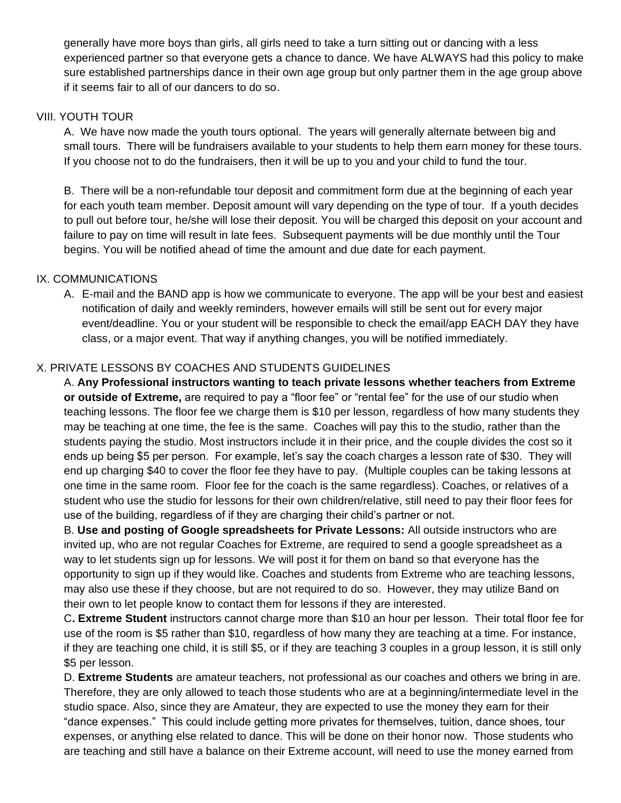generally have more boys than girls, all girls need to take a turn sitting out or dancing with a less experienced partner so that everyone gets a chance to dance. We have ALWAYS had this policy to make sure established partnerships dance in their own age group but only partner them in the age group above if it seems fair to all of our dancers to do so.

### VIII. YOUTH TOUR

A. We have now made the youth tours optional. The years will generally alternate between big and small tours. There will be fundraisers available to your students to help them earn money for these tours. If you choose not to do the fundraisers, then it will be up to you and your child to fund the tour.

B. There will be a non-refundable tour deposit and commitment form due at the beginning of each year for each youth team member. Deposit amount will vary depending on the type of tour. If a youth decides to pull out before tour, he/she will lose their deposit. You will be charged this deposit on your account and failure to pay on time will result in late fees. Subsequent payments will be due monthly until the Tour begins. You will be notified ahead of time the amount and due date for each payment.

# IX. COMMUNICATIONS

A. E-mail and the BAND app is how we communicate to everyone. The app will be your best and easiest notification of daily and weekly reminders, however emails will still be sent out for every major event/deadline. You or your student will be responsible to check the email/app EACH DAY they have class, or a major event. That way if anything changes, you will be notified immediately.

### X. PRIVATE LESSONS BY COACHES AND STUDENTS GUIDELINES

A. **Any Professional instructors wanting to teach private lessons whether teachers from Extreme or outside of Extreme,** are required to pay a "floor fee" or "rental fee" for the use of our studio when teaching lessons. The floor fee we charge them is \$10 per lesson, regardless of how many students they may be teaching at one time, the fee is the same. Coaches will pay this to the studio, rather than the students paying the studio. Most instructors include it in their price, and the couple divides the cost so it ends up being \$5 per person. For example, let's say the coach charges a lesson rate of \$30. They will end up charging \$40 to cover the floor fee they have to pay. (Multiple couples can be taking lessons at one time in the same room. Floor fee for the coach is the same regardless). Coaches, or relatives of a student who use the studio for lessons for their own children/relative, still need to pay their floor fees for use of the building, regardless of if they are charging their child's partner or not.

B. **Use and posting of Google spreadsheets for Private Lessons:** All outside instructors who are invited up, who are not regular Coaches for Extreme, are required to send a google spreadsheet as a way to let students sign up for lessons. We will post it for them on band so that everyone has the opportunity to sign up if they would like. Coaches and students from Extreme who are teaching lessons, may also use these if they choose, but are not required to do so. However, they may utilize Band on their own to let people know to contact them for lessons if they are interested.

C**. Extreme Student** instructors cannot charge more than \$10 an hour per lesson. Their total floor fee for use of the room is \$5 rather than \$10, regardless of how many they are teaching at a time. For instance, if they are teaching one child, it is still \$5, or if they are teaching 3 couples in a group lesson, it is still only \$5 per lesson.

D. **Extreme Students** are amateur teachers, not professional as our coaches and others we bring in are. Therefore, they are only allowed to teach those students who are at a beginning/intermediate level in the studio space. Also, since they are Amateur, they are expected to use the money they earn for their "dance expenses." This could include getting more privates for themselves, tuition, dance shoes, tour expenses, or anything else related to dance. This will be done on their honor now. Those students who are teaching and still have a balance on their Extreme account, will need to use the money earned from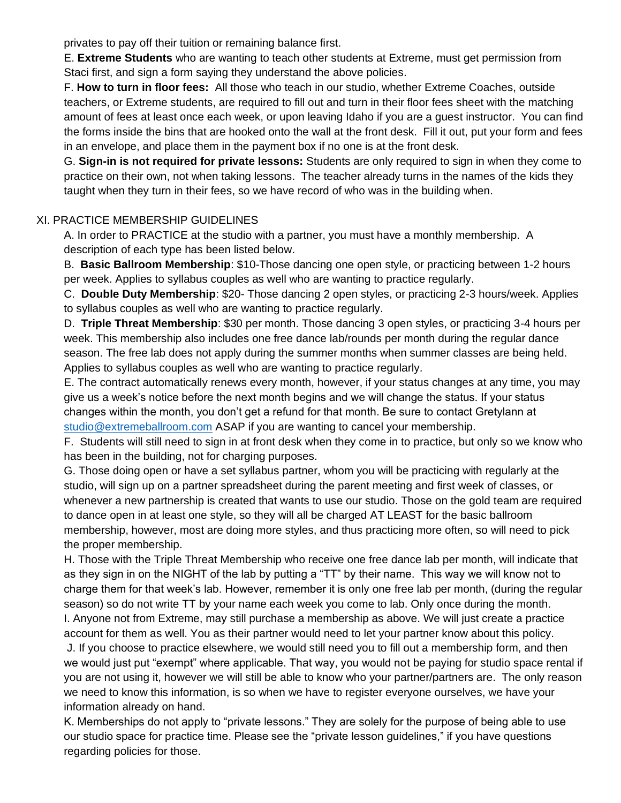privates to pay off their tuition or remaining balance first.

E. **Extreme Students** who are wanting to teach other students at Extreme, must get permission from Staci first, and sign a form saying they understand the above policies.

F. **How to turn in floor fees:** All those who teach in our studio, whether Extreme Coaches, outside teachers, or Extreme students, are required to fill out and turn in their floor fees sheet with the matching amount of fees at least once each week, or upon leaving Idaho if you are a guest instructor. You can find the forms inside the bins that are hooked onto the wall at the front desk. Fill it out, put your form and fees in an envelope, and place them in the payment box if no one is at the front desk.

G. **Sign-in is not required for private lessons:** Students are only required to sign in when they come to practice on their own, not when taking lessons. The teacher already turns in the names of the kids they taught when they turn in their fees, so we have record of who was in the building when.

# XI. PRACTICE MEMBERSHIP GUIDELINES

A. In order to PRACTICE at the studio with a partner, you must have a monthly membership. A description of each type has been listed below.

B. **Basic Ballroom Membership**: \$10-Those dancing one open style, or practicing between 1-2 hours per week. Applies to syllabus couples as well who are wanting to practice regularly.

C. **Double Duty Membership**: \$20- Those dancing 2 open styles, or practicing 2-3 hours/week. Applies to syllabus couples as well who are wanting to practice regularly.

D. **Triple Threat Membership**: \$30 per month. Those dancing 3 open styles, or practicing 3-4 hours per week. This membership also includes one free dance lab/rounds per month during the regular dance season. The free lab does not apply during the summer months when summer classes are being held. Applies to syllabus couples as well who are wanting to practice regularly.

E. The contract automatically renews every month, however, if your status changes at any time, you may give us a week's notice before the next month begins and we will change the status. If your status changes within the month, you don't get a refund for that month. Be sure to contact Gretylann at [studio@extremeballroom.com](mailto:studio@extremeballroom.com) ASAP if you are wanting to cancel your membership.

F. Students will still need to sign in at front desk when they come in to practice, but only so we know who has been in the building, not for charging purposes.

G. Those doing open or have a set syllabus partner, whom you will be practicing with regularly at the studio, will sign up on a partner spreadsheet during the parent meeting and first week of classes, or whenever a new partnership is created that wants to use our studio. Those on the gold team are required to dance open in at least one style, so they will all be charged AT LEAST for the basic ballroom membership, however, most are doing more styles, and thus practicing more often, so will need to pick the proper membership.

H. Those with the Triple Threat Membership who receive one free dance lab per month, will indicate that as they sign in on the NIGHT of the lab by putting a "TT" by their name. This way we will know not to charge them for that week's lab. However, remember it is only one free lab per month, (during the regular season) so do not write TT by your name each week you come to lab. Only once during the month.

I. Anyone not from Extreme, may still purchase a membership as above. We will just create a practice account for them as well. You as their partner would need to let your partner know about this policy.

J. If you choose to practice elsewhere, we would still need you to fill out a membership form, and then we would just put "exempt" where applicable. That way, you would not be paying for studio space rental if you are not using it, however we will still be able to know who your partner/partners are. The only reason we need to know this information, is so when we have to register everyone ourselves, we have your information already on hand.

K. Memberships do not apply to "private lessons." They are solely for the purpose of being able to use our studio space for practice time. Please see the "private lesson guidelines," if you have questions regarding policies for those.